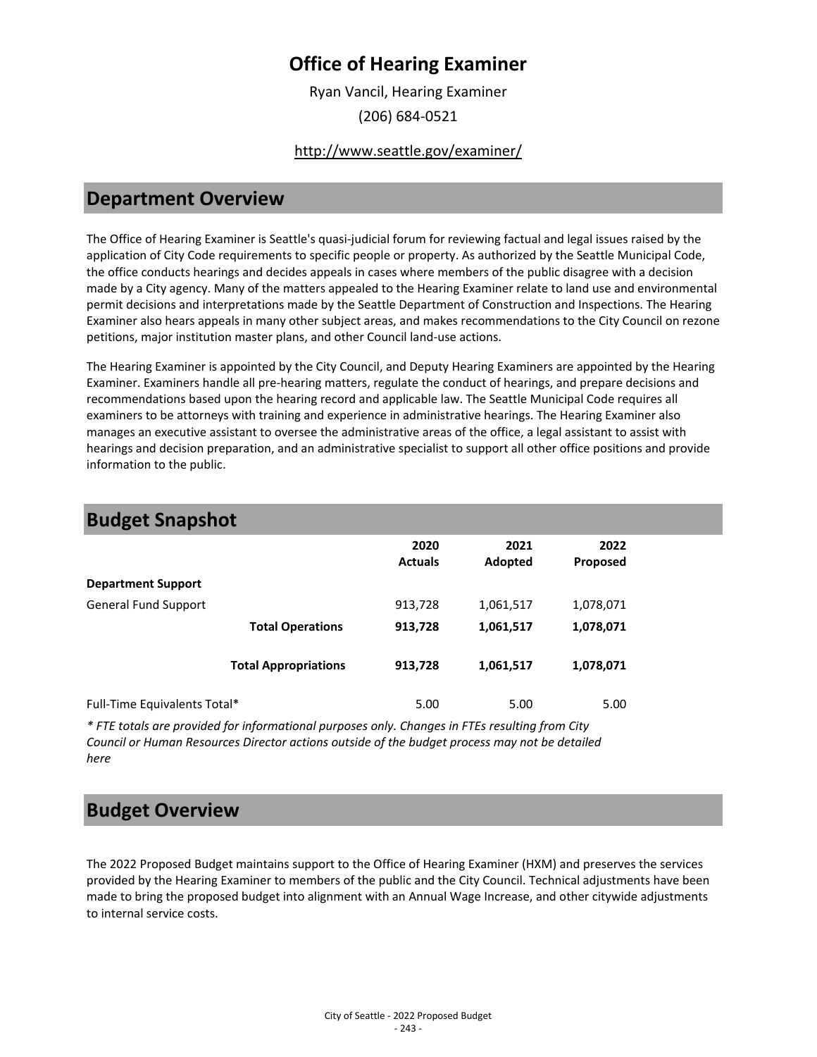### **Office of Hearing Examiner**

Ryan Vancil, Hearing Examiner (206) 684-0521

#### <http://www.seattle.gov/examiner/>

#### **Department Overview**

The Office of Hearing Examiner is Seattle's quasi-judicial forum for reviewing factual and legal issues raised by the application of City Code requirements to specific people or property. As authorized by the Seattle Municipal Code, the office conducts hearings and decides appeals in cases where members of the public disagree with a decision made by a City agency. Many of the matters appealed to the Hearing Examiner relate to land use and environmental permit decisions and interpretations made by the Seattle Department of Construction and Inspections. The Hearing Examiner also hears appeals in many other subject areas, and makes recommendations to the City Council on rezone petitions, major institution master plans, and other Council land-use actions.

The Hearing Examiner is appointed by the City Council, and Deputy Hearing Examiners are appointed by the Hearing Examiner. Examiners handle all pre-hearing matters, regulate the conduct of hearings, and prepare decisions and recommendations based upon the hearing record and applicable law. The Seattle Municipal Code requires all examiners to be attorneys with training and experience in administrative hearings. The Hearing Examiner also manages an executive assistant to oversee the administrative areas of the office, a legal assistant to assist with hearings and decision preparation, and an administrative specialist to support all other office positions and provide information to the public.

| <b>Budget Snapshot</b>       |                             |                        |                 |                  |  |
|------------------------------|-----------------------------|------------------------|-----------------|------------------|--|
|                              |                             | 2020<br><b>Actuals</b> | 2021<br>Adopted | 2022<br>Proposed |  |
| <b>Department Support</b>    |                             |                        |                 |                  |  |
| <b>General Fund Support</b>  |                             | 913,728                | 1,061,517       | 1,078,071        |  |
|                              | <b>Total Operations</b>     | 913,728                | 1,061,517       | 1,078,071        |  |
|                              | <b>Total Appropriations</b> | 913,728                | 1,061,517       | 1,078,071        |  |
| Full-Time Equivalents Total* |                             | 5.00                   | 5.00            | 5.00             |  |

*\* FTE totals are provided for informational purposes only. Changes in FTEs resulting from City Council or Human Resources Director actions outside of the budget process may not be detailed here*

#### **Budget Overview**

The 2022 Proposed Budget maintains support to the Office of Hearing Examiner (HXM) and preserves the services provided by the Hearing Examiner to members of the public and the City Council. Technical adjustments have been made to bring the proposed budget into alignment with an Annual Wage Increase, and other citywide adjustments to internal service costs.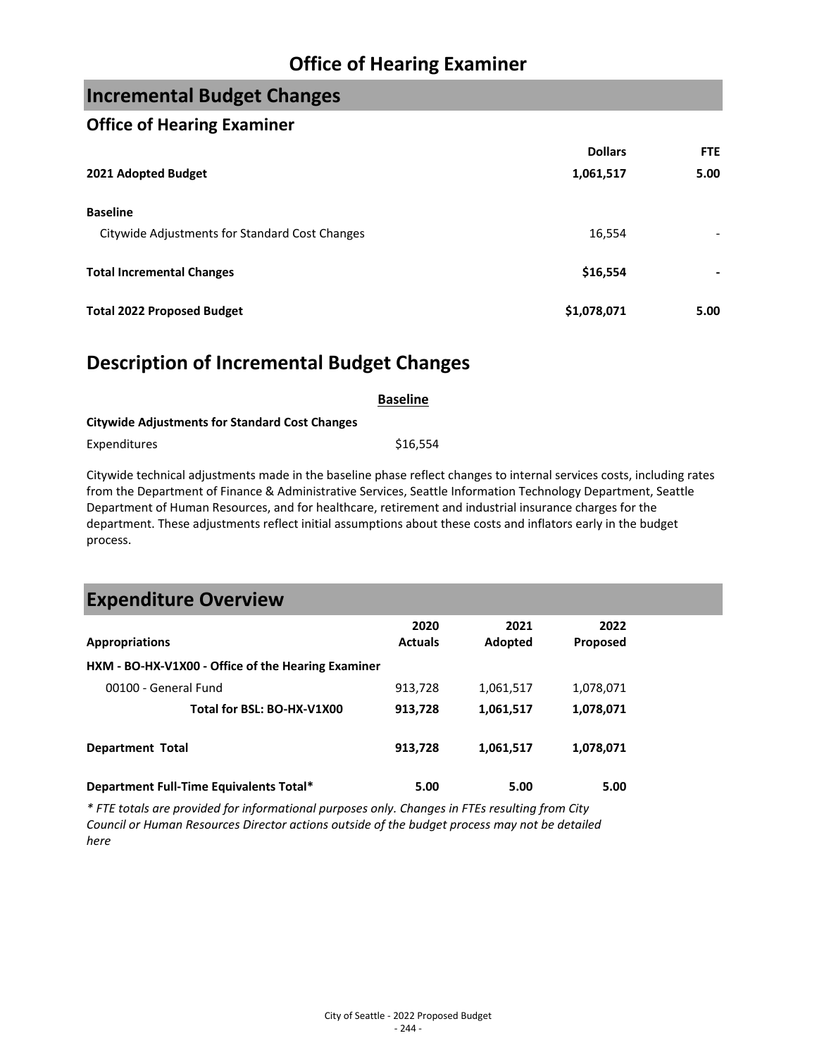### **Office of Hearing Examiner**

### **Incremental Budget Changes**

#### **Office of Hearing Examiner**

|                                                | <b>Dollars</b> | <b>FTE</b> |
|------------------------------------------------|----------------|------------|
| 2021 Adopted Budget                            | 1,061,517      | 5.00       |
| <b>Baseline</b>                                |                |            |
| Citywide Adjustments for Standard Cost Changes | 16,554         |            |
| <b>Total Incremental Changes</b>               | \$16,554       |            |
| <b>Total 2022 Proposed Budget</b>              | \$1,078,071    | 5.00       |

#### **Description of Incremental Budget Changes**

|                                                       | <b>Baseline</b> |
|-------------------------------------------------------|-----------------|
| <b>Citywide Adjustments for Standard Cost Changes</b> |                 |
| Expenditures                                          | \$16.554        |

Citywide technical adjustments made in the baseline phase reflect changes to internal services costs, including rates from the Department of Finance & Administrative Services, Seattle Information Technology Department, Seattle Department of Human Resources, and for healthcare, retirement and industrial insurance charges for the department. These adjustments reflect initial assumptions about these costs and inflators early in the budget process.

| <b>Expenditure Overview</b>                        |                        |                 |                         |  |
|----------------------------------------------------|------------------------|-----------------|-------------------------|--|
| <b>Appropriations</b>                              | 2020<br><b>Actuals</b> | 2021<br>Adopted | 2022<br><b>Proposed</b> |  |
| HXM - BO-HX-V1X00 - Office of the Hearing Examiner |                        |                 |                         |  |
| 00100 - General Fund                               | 913,728                | 1,061,517       | 1,078,071               |  |
| Total for BSL: BO-HX-V1X00                         | 913,728                | 1,061,517       | 1,078,071               |  |
| <b>Department Total</b>                            | 913,728                | 1,061,517       | 1,078,071               |  |
| Department Full-Time Equivalents Total*            | 5.00                   | 5.00            | 5.00                    |  |

*\* FTE totals are provided for informational purposes only. Changes in FTEs resulting from City Council or Human Resources Director actions outside of the budget process may not be detailed here*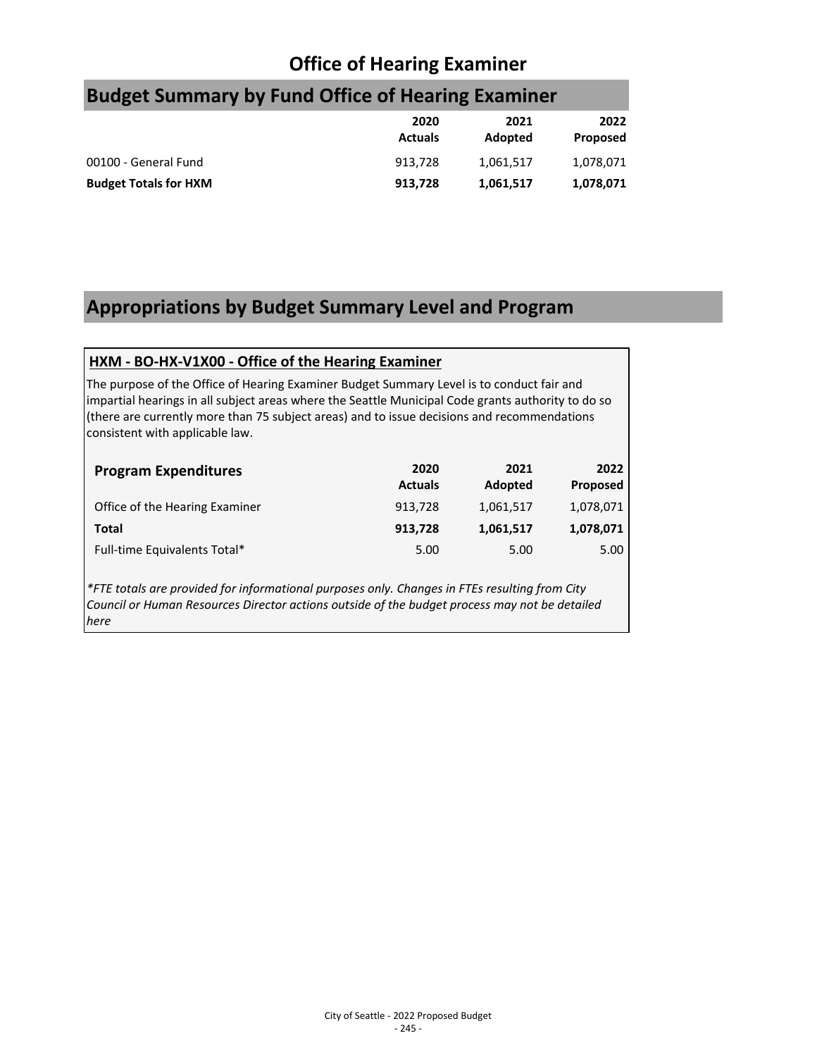## **Office of Hearing Examiner**

# **Budget Summary by Fund Office of Hearing Examiner**

|                              | 2020<br><b>Actuals</b> | 2021<br>Adopted | 2022<br>Proposed |
|------------------------------|------------------------|-----------------|------------------|
| 00100 - General Fund         | 913.728                | 1,061,517       | 1,078,071        |
| <b>Budget Totals for HXM</b> | 913.728                | 1.061.517       | 1,078,071        |

## **Appropriations by Budget Summary Level and Program**

#### **HXM - BO-HX-V1X00 - Office of the Hearing Examiner**

The purpose of the Office of Hearing Examiner Budget Summary Level is to conduct fair and impartial hearings in all subject areas where the Seattle Municipal Code grants authority to do so (there are currently more than 75 subject areas) and to issue decisions and recommendations consistent with applicable law.

| <b>Program Expenditures</b>    | 2020<br><b>Actuals</b> | 2021<br>Adopted | 2022<br>Proposed |
|--------------------------------|------------------------|-----------------|------------------|
| Office of the Hearing Examiner | 913,728                | 1,061,517       | 1,078,071        |
| Total                          | 913,728                | 1,061,517       | 1,078,071        |
| Full-time Equivalents Total*   | 5.00                   | 5.00            | 5.00             |

*\*FTE totals are provided for informational purposes only. Changes in FTEs resulting from City Council or Human Resources Director actions outside of the budget process may not be detailed here*